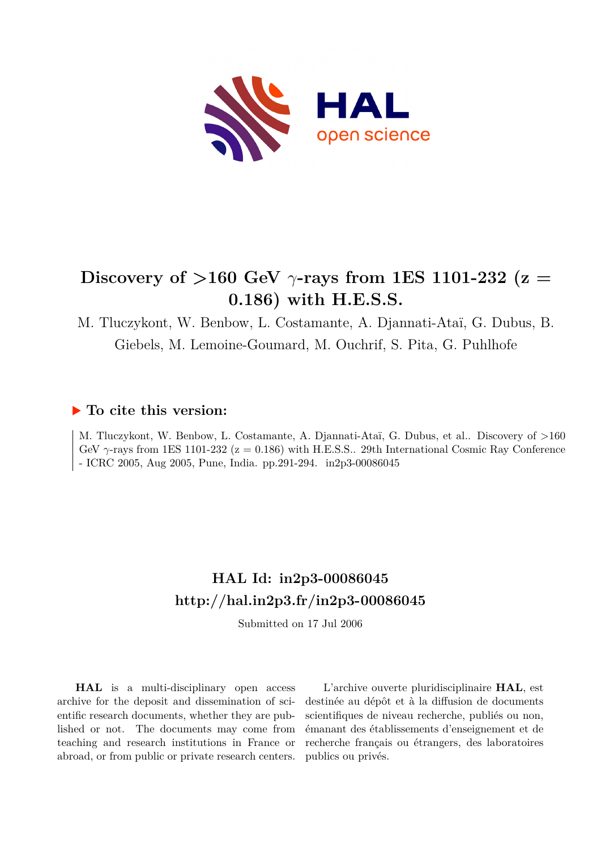

# Discovery of  $>160$  GeV  $\gamma$ -rays from 1ES 1101-232 (z = **0.186) with H.E.S.S.**

M. Tluczykont, W. Benbow, L. Costamante, A. Djannati-Ataï, G. Dubus, B. Giebels, M. Lemoine-Goumard, M. Ouchrif, S. Pita, G. Puhlhofe

### **To cite this version:**

M. Tluczykont, W. Benbow, L. Costamante, A. Djannati-Ataï, G. Dubus, et al.. Discovery of >160 GeV  $\gamma$ -rays from 1ES 1101-232 ( $z = 0.186$ ) with H.E.S.S.. 29th International Cosmic Ray Conference - ICRC 2005, Aug 2005, Pune, India. pp.291-294. in2p3-00086045

## **HAL Id: in2p3-00086045 <http://hal.in2p3.fr/in2p3-00086045>**

Submitted on 17 Jul 2006

**HAL** is a multi-disciplinary open access archive for the deposit and dissemination of scientific research documents, whether they are published or not. The documents may come from teaching and research institutions in France or abroad, or from public or private research centers.

L'archive ouverte pluridisciplinaire **HAL**, est destinée au dépôt et à la diffusion de documents scientifiques de niveau recherche, publiés ou non, émanant des établissements d'enseignement et de recherche français ou étrangers, des laboratoires publics ou privés.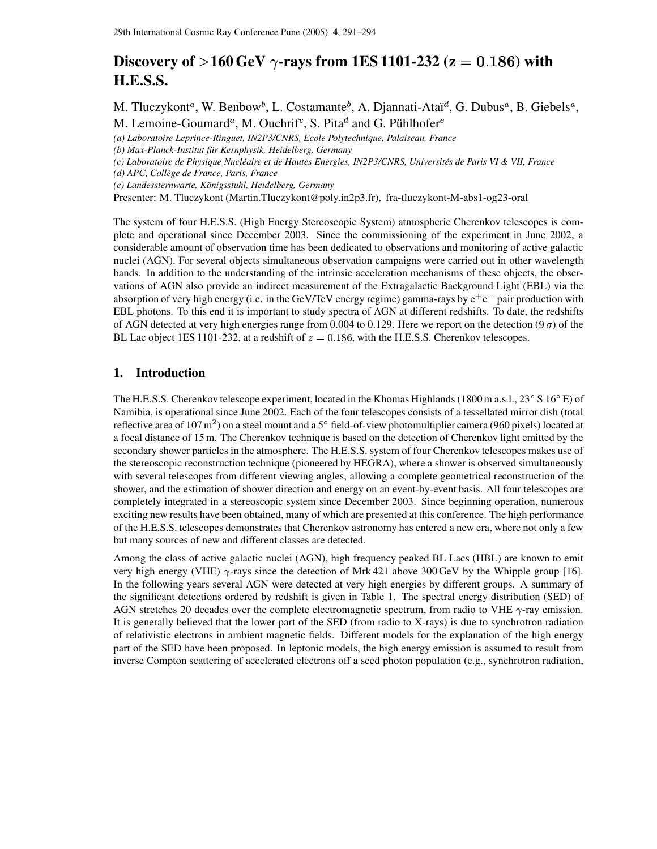## Discovery of  $>$  160 GeV  $\gamma$ -rays from 1ES 1101-232 ( $\mathrm{z}=0.186$ ) with **H.E.S.S.**

M. Tluczykont<sup>a</sup>, W. Benbow<sup>b</sup>, L. Costamante<sup>b</sup>, A. Djannati-Ataï<sup>d</sup>, G. Dubus<sup>a</sup>, B. Giebels<sup>a</sup>, M. Lemoine-Goumard<sup>a</sup>, M. Ouchrif<sup>c</sup>, S. Pita<sup>d</sup> and G. Pühlhofer<sup>e</sup>

*(a) Laboratoire Leprince-Ringuet, IN2P3/CNRS, Ecole Polytechnique, Palaiseau, France*

*(e) Landessternwarte, Konigsstuhl, ¨ Heidelberg, Germany*

Presenter: M. Tluczykont (Martin.Tluczykont@poly.in2p3.fr), fra-tluczykont-M-abs1-og23-oral

The system of four H.E.S.S. (High Energy Stereoscopic System) atmospheric Cherenkov telescopes is complete and operational since December 2003. Since the commissioning of the experiment in June 2002, a considerable amount of observation time has been dedicated to observations and monitoring of active galactic nuclei (AGN). For several objects simultaneous observation campaigns were carried out in other wavelength bands. In addition to the understanding of the intrinsic acceleration mechanisms of these objects, the observations of AGN also provide an indirect measurement of the Extragalactic Background Light (EBL) via the absorption of very high energy (i.e. in the GeV/TeV energy regime) gamma-rays by  $e^+e^-$  pair production with EBL photons. To this end it is important to study spectra of AGN at different redshifts. To date, the redshifts of AGN detected at very high energies range from 0.004 to 0.129. Here we report on the detection (9 $\sigma$ ) of the BL Lac object 1ES 1101-232, at a redshift of  $z = 0.186$ , with the H.E.S.S. Cherenkov telescopes.

#### **1. Introduction**

The H.E.S.S. Cherenkov telescope experiment, located in the Khomas Highlands (1800 m a.s.l., 23 $\degree$  S 16 $\degree$  E) of Namibia, is operational since June 2002. Each of the four telescopes consists of a tessellated mirror dish (total reflective area of  $107 \text{ m}^2$ ) on a steel mount and a 5 $\degree$  field-of-view photomultiplier camera (960 pixels) located at a focal distance of 15m. The Cherenkov technique is based on the detection of Cherenkov light emitted by the secondary shower particles in the atmosphere. The H.E.S.S. system of four Cherenkov telescopes makes use of the stereoscopic reconstruction technique (pioneered by HEGRA), where a shower is observed simultaneously with several telescopes from different viewing angles, allowing a complete geometrical reconstruction of the shower, and the estimation of shower direction and energy on an event-by-event basis. All four telescopes are completely integrated in a stereoscopic system since December 2003. Since beginning operation, numerous exciting new results have been obtained, many of which are presented at this conference. The high performance of the H.E.S.S. telescopes demonstrates that Cherenkov astronomy has entered a new era, where not only a few but many sources of new and different classes are detected.

Among the class of active galactic nuclei (AGN), high frequency peaked BL Lacs (HBL) are known to emit very high energy (VHE)  $\gamma$ -rays since the detection of Mrk 421 above 300 GeV by the Whipple group [16]. In the following years several AGN were detected at very high energies by different groups. A summary of the significant detections ordered by redshift is given in Table 1. The spectral energy distribution (SED) of AGN stretches 20 decades over the complete electromagnetic spectrum, from radio to VHE  $\gamma$ -ray emission. It is generally believed that the lower part of the SED (from radio to X-rays) is due to synchrotron radiation of relativistic electrons in ambient magnetic fields. Different models for the explanation of the high energy part of the SED have been proposed. In leptonic models, the high energy emission is assumed to result from inverse Compton scattering of accelerated electrons off a seed photon population (e.g., synchrotron radiation,

*<sup>(</sup>b) Max-Planck-Institut fur¨ Kernphysik, Heidelberg, Germany*

<sup>(</sup>c) Laboratoire de Physique Nucléaire et de Hautes Energies, IN2P3/CNRS, Universités de Paris VI & VII, France

*<sup>(</sup>d) APC, Colleg` e de France, Paris, France*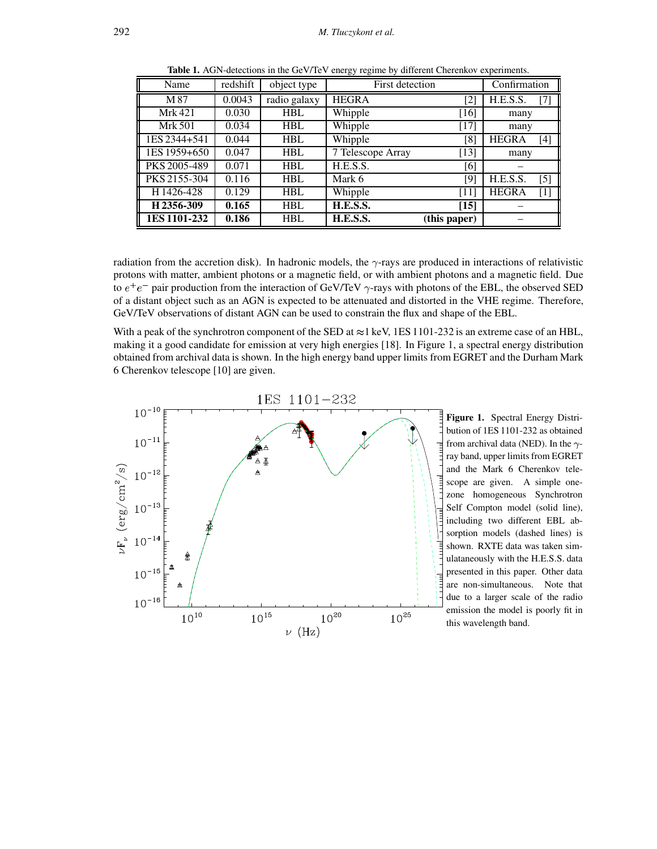| Name           | redshift | object type  | First detection   |                   | Confirmation |                   |
|----------------|----------|--------------|-------------------|-------------------|--------------|-------------------|
| M87            | 0.0043   | radio galaxy | <b>HEGRA</b>      | $\left[ 2\right]$ | H.E.S.S.     | $[7]$             |
| Mrk 421        | 0.030    | <b>HBL</b>   | Whipple           | $[16]$            | many         |                   |
| <b>Mrk 501</b> | 0.034    | <b>HBL</b>   | Whipple           | $[17]$            | many         |                   |
| 1ES 2344+541   | 0.044    | <b>HBL</b>   | Whipple           | [8]               | <b>HEGRA</b> | $[4]$             |
| 1ES 1959+650   | 0.047    | <b>HBL</b>   | 7 Telescope Array | $[13]$            | many         |                   |
| PKS 2005-489   | 0.071    | <b>HBL</b>   | H.E.S.S.          | [6]               |              |                   |
| PKS 2155-304   | 0.116    | <b>HBL</b>   | Mark 6            | [9]               | H.E.S.S.     | $\lceil 5 \rceil$ |
| H1426-428      | 0.129    | <b>HBL</b>   | Whipple           | [11]              | <b>HEGRA</b> | $[1]$             |
| H2356-309      | 0.165    | <b>HBL</b>   | H.E.S.S.          | $[15]$            |              |                   |
| 1ES 1101-232   | 0.186    | <b>HBL</b>   | H.E.S.S.          | (this paper)      |              |                   |

**Table 1.** AGN-detections in the GeV/TeV energy regime by different Cherenkov experiments.

radiation from the accretion disk). In hadronic models, the  $\gamma$ -rays are produced in interactions of relativistic protons with matter, ambient photons or a magnetic field, or with ambient photons and a magnetic field. Due to  $e^+e^-$  pair production from the interaction of GeV/TeV  $\gamma$ -rays with photons of the EBL, the observed SED of a distant object such as an AGN is expected to be attenuated and distorted in the VHE regime. Therefore, GeV/TeV observations of distant AGN can be used to constrain the flux and shape of the EBL.

With a peak of the synchrotron component of the SED at  $\approx$ 1 keV, 1ES 1101-232 is an extreme case of an HBL, making it a good candidate for emission at very high energies [18]. In Figure 1, a spectral energy distribution obtained from archival data is shown. In the high energy band upper limits from EGRET and the Durham Mark 6 Cherenkov telescope [10] are given.



**Figure 1.** Spectral Energy Distribution of 1ES 1101-232 as obtained from archival data (NED). In the  $\gamma$ ray band, upper limits from EGRET and the Mark 6 Cherenkov telescope are given. A simple onezone homogeneous Synchrotron Self Compton model (solid line), including two different EBL absorption models (dashed lines) is shown. RXTE data was taken simulataneously with the H.E.S.S. data presented in this paper. Other data are non-simultaneous. Note that due to a larger scale of the radio emission the model is poorly fit in this wavelength band.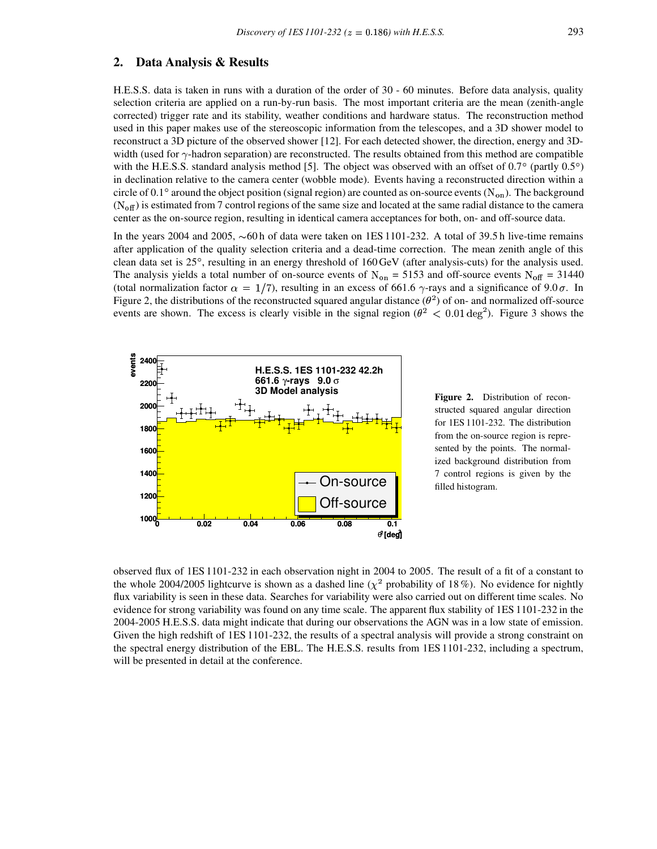#### **2. Data Analysis & Results**

H.E.S.S. data is taken in runs with a duration of the order of 30 - 60 minutes. Before data analysis, quality selection criteria are applied on a run-by-run basis. The most important criteria are the mean (zenith-angle corrected) trigger rate and its stability, weather conditions and hardware status. The reconstruction method used in this paper makes use of the stereoscopic information from the telescopes, and a 3D shower model to reconstruct a 3D picture of the observed shower [12]. For each detected shower, the direction, energy and 3Dwidth (used for  $\gamma$ -hadron separation) are reconstructed. The results obtained from this method are compatible with the H.E.S.S. standard analysis method [5]. The object was observed with an offset of  $0.7^{\circ}$  (partly  $0.5^{\circ}$ ) in declination relative to the camera center (wobble mode). Events having a reconstructed direction within a circle of 0.1° around the object position (signal region) are counted as on-source events  $(N_{on})$ . The background  $(N<sub>off</sub>)$  is estimated from 7 control regions of the same size and located at the same radial distance to the camera center as the on-source region, resulting in identical camera acceptances for both, on- and off-source data.

In the years 2004 and 2005,  $\sim 60$  h of data were taken on 1ES 1101-232. A total of 39.5 h live-time remains after application of the quality selection criteria and a dead-time correction. The mean zenith angle of this clean data set is 25% , resulting in an energy threshold of 160 GeV (after analysis-cuts) for the analysis used. The analysis yields a total number of on-source events of  $N_{on} = 5153$  and off-source events  $N_{off} = 31440$ (total normalization factor  $\alpha = 1/7$ ), resulting in an excess of 661.6  $\gamma$ -rays and a significance of 9.0  $\sigma$ . In Figure 2, the distributions of the reconstructed squared angular distance  $(\theta^2)$  of on- and normalized off-source events are shown. The excess is clearly visible in the signal region ( $\theta^2 < 0.01 \text{ deg}^2$ ). Figure 3 shows the



**Figure 2.** Distribution of reconstructed squared angular direction for 1ES 1101-232. The distribution from the on-source region is represented by the points. The normalized background distribution from 7 control regions is given by the filled histogram.

observed flux of 1ES 1101-232 in each observation night in 2004 to 2005. The result of a fit of a constant to the whole 2004/2005 lightcurve is shown as a dashed line ( $\chi^2$  probability of 18%). No evidence for nightly flux variability is seen in these data. Searches for variability were also carried out on different time scales. No evidence for strong variability was found on any time scale. The apparent flux stability of 1ES 1101-232 in the 2004-2005 H.E.S.S. data might indicate that during our observations the AGN was in a low state of emission. Given the high redshift of 1ES 1101-232, the results of a spectral analysis will provide a strong constraint on the spectral energy distribution of the EBL. The H.E.S.S. results from 1ES 1101-232, including a spectrum, will be presented in detail at the conference.